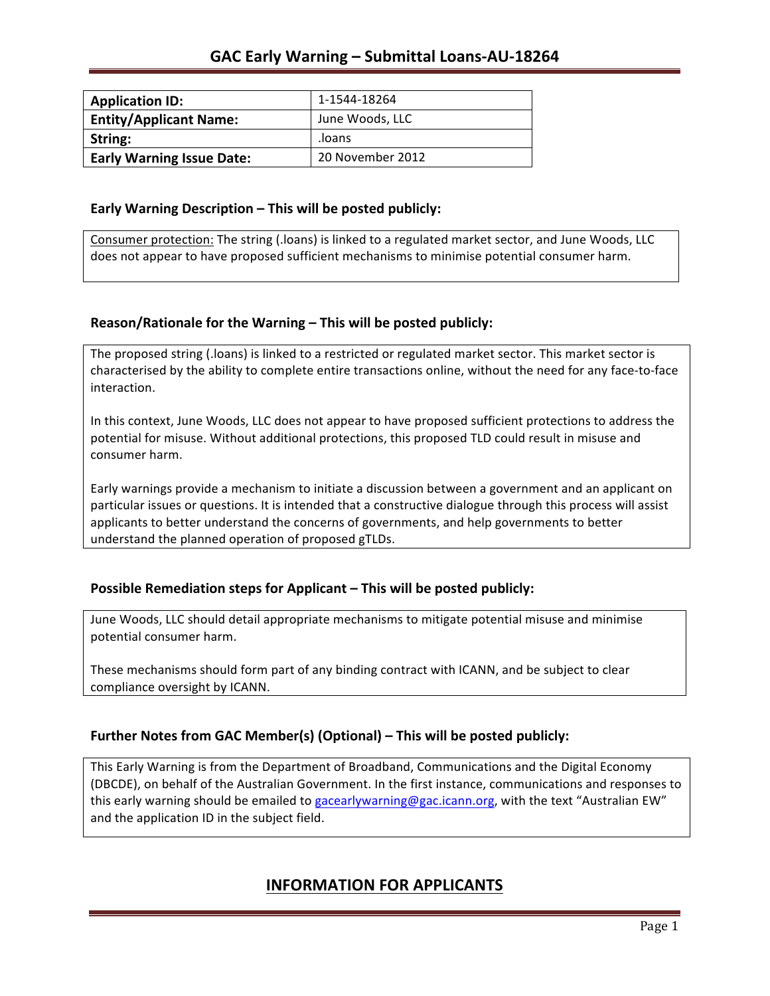| <b>Application ID:</b>           | 1-1544-18264     |
|----------------------------------|------------------|
| <b>Entity/Applicant Name:</b>    | June Woods, LLC  |
| String:                          | loans.           |
| <b>Early Warning Issue Date:</b> | 20 November 2012 |

### **Early Warning Description – This will be posted publicly:**

Consumer protection: The string (.loans) is linked to a regulated market sector, and June Woods, LLC does not appear to have proposed sufficient mechanisms to minimise potential consumer harm.

### **Reason/Rationale for the Warning – This will be posted publicly:**

The proposed string (.loans) is linked to a restricted or regulated market sector. This market sector is characterised by the ability to complete entire transactions online, without the need for any face-to-face interaction.

In this context, June Woods, LLC does not appear to have proposed sufficient protections to address the potential for misuse. Without additional protections, this proposed TLD could result in misuse and consumer harm.

Early warnings provide a mechanism to initiate a discussion between a government and an applicant on particular issues or questions. It is intended that a constructive dialogue through this process will assist applicants to better understand the concerns of governments, and help governments to better understand the planned operation of proposed gTLDs.

### **Possible Remediation steps for Applicant – This will be posted publicly:**

June Woods, LLC should detail appropriate mechanisms to mitigate potential misuse and minimise potential consumer harm.

These mechanisms should form part of any binding contract with ICANN, and be subject to clear compliance oversight by ICANN.

### **Further Notes from GAC Member(s) (Optional)** – This will be posted publicly:

This Early Warning is from the Department of Broadband, Communications and the Digital Economy (DBCDE), on behalf of the Australian Government. In the first instance, communications and responses to this early warning should be emailed to gacearlywarning@gac.icann.org, with the text "Australian EW" and the application ID in the subject field.

## **INFORMATION FOR APPLICANTS**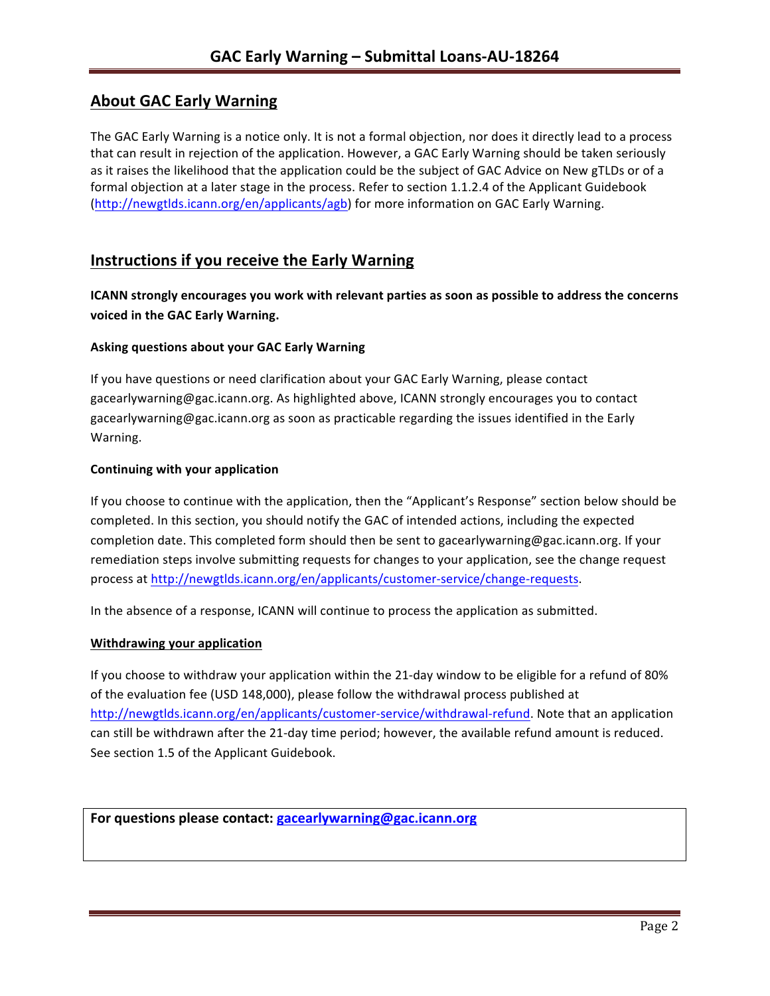# **About GAC Early Warning**

The GAC Early Warning is a notice only. It is not a formal objection, nor does it directly lead to a process that can result in rejection of the application. However, a GAC Early Warning should be taken seriously as it raises the likelihood that the application could be the subject of GAC Advice on New gTLDs or of a formal objection at a later stage in the process. Refer to section 1.1.2.4 of the Applicant Guidebook (http://newgtlds.icann.org/en/applicants/agb) for more information on GAC Early Warning.

## **Instructions if you receive the Early Warning**

**ICANN** strongly encourages you work with relevant parties as soon as possible to address the concerns **voiced in the GAC Early Warning.** 

### **Asking questions about your GAC Early Warning**

If you have questions or need clarification about your GAC Early Warning, please contact gacearlywarning@gac.icann.org. As highlighted above, ICANN strongly encourages you to contact gacearlywarning@gac.icann.org as soon as practicable regarding the issues identified in the Early Warning. 

#### **Continuing with your application**

If you choose to continue with the application, then the "Applicant's Response" section below should be completed. In this section, you should notify the GAC of intended actions, including the expected completion date. This completed form should then be sent to gacearlywarning@gac.icann.org. If your remediation steps involve submitting requests for changes to your application, see the change request process at http://newgtlds.icann.org/en/applicants/customer-service/change-requests.

In the absence of a response, ICANN will continue to process the application as submitted.

#### **Withdrawing your application**

If you choose to withdraw your application within the 21-day window to be eligible for a refund of 80% of the evaluation fee (USD 148,000), please follow the withdrawal process published at http://newgtlds.icann.org/en/applicants/customer-service/withdrawal-refund. Note that an application can still be withdrawn after the 21-day time period; however, the available refund amount is reduced. See section 1.5 of the Applicant Guidebook.

```
For questions please contact: gacearlywarning@gac.icann.org
```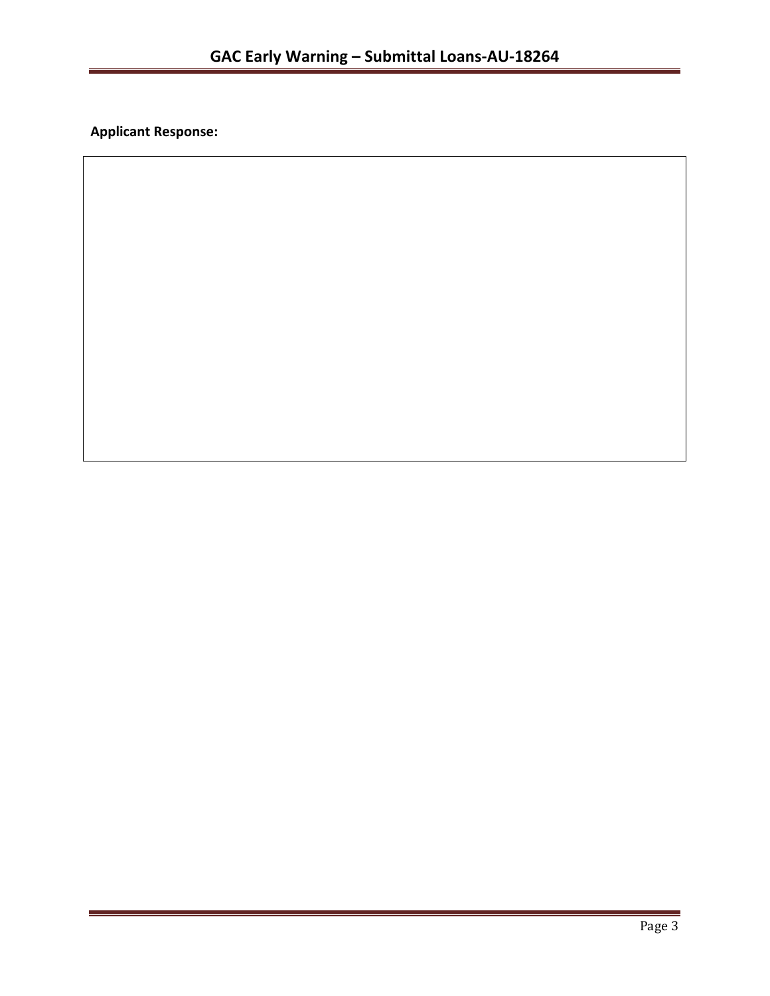**Applicant Response:**